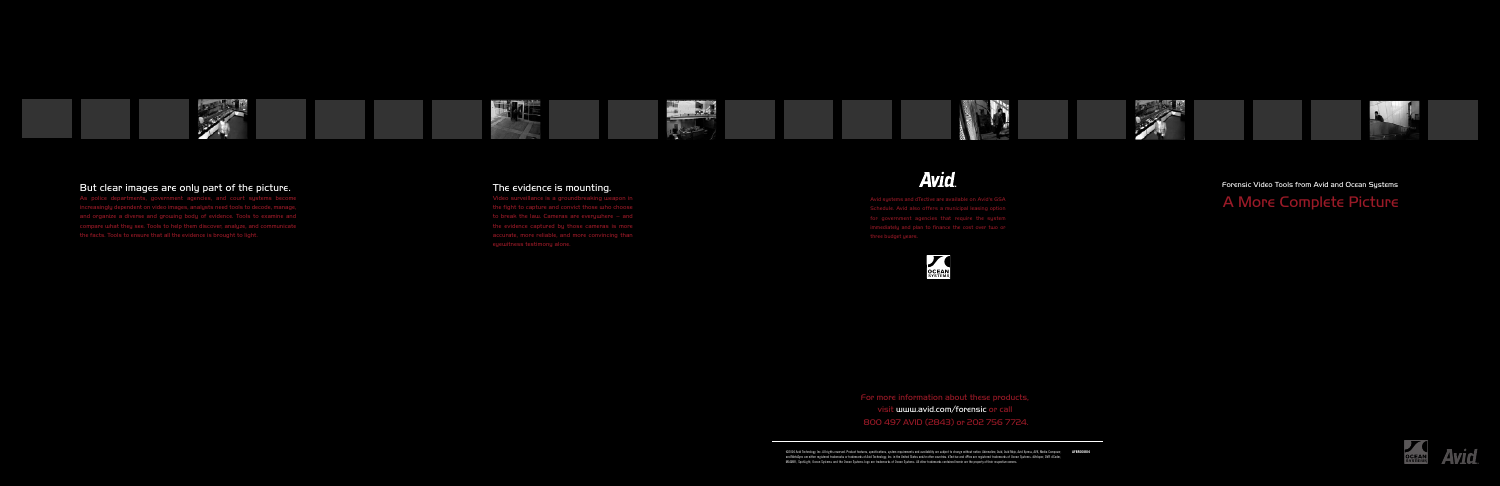

# **Avid.**

## Forensic Video Tools from Avid and Ocean Systems

# A More Complete Picture

Schedule. Avid also offers a municipal leasing option for government agencies that require the sustem three budget years.

For more information about these products, visit www.avid.com/forensic or call

800 497 AVID (2843) or 202 756 7724.

@2004 Avid Technology, Inc. All rights reserved. Product features, specifications, system requirements and availability are subject to change without notice. Adrenaline, Avid, Avid Mojo, Avid Xpress, AVX, Media Composer, A and MetaSync are either registered trademarks or trademarks of Avid Technology, Inc. in the United States and/or other countries. dTective and dPlex are registered trademarks of Ocean Systems. dVeloper, DVR dCoder,<br>MAGNIFi







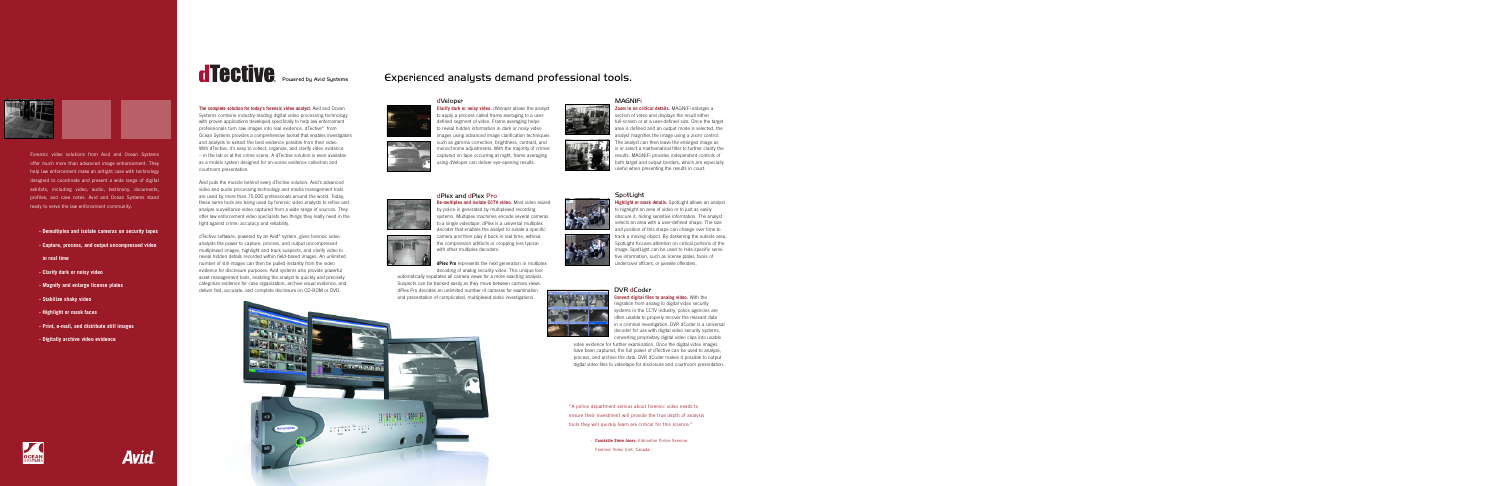**Zoom in on critical details.** MAGNIFi enlarges a section of video and displays the result either full-screen or at a user-defined size. Once the target area is defined and an output mode is selected, the analyst magnifies the image using a zoom control. The analyst can then leave the enlarged image as is or select a mathematical filter to further clarify the results. MAGNIFi provides independent controls of both target and output borders, which are especially useful when presenting the results in court.





#### **SpotLight**

**Highlight or mask details.** SpotLight allows an analyst to highlight an area of video or to just as easily obscure it, hiding sensitive information. The analyst selects an area with a user-defined shape. The size and position of this shape can change over time to track a moving object. By darkening the outside area, SpotLight focuses attention on critical portions of the image. SpotLight can be used to hide specific sensitive information, such as license plates, faces of undercover officers, or juvenile offenders.



#### DVR dCoder

**Convert digital files to analog video.** With the migration from analog to digital video security systems in the CCTV industry, police agencies are often unable to properly recover the relevant data in a criminal investigation. DVR dCoder is a universal decoder for use with digital video security systems, converting proprietary digital video clips into usable

video evidence for further examination. Once the digital video images have been captured, the full power of dTective can be used to analyze, process, and archive the data. DVR dCoder makes it possible to output digital video files to videotape for disclosure and courtroom presentation.



Forensic video solutions from Avid and Ocean Systems offer much more than advanced image enhancement. They help law enforcement make an airtight case with technology designed to coordinate and present a wide range of digital exhibits, including video, audio, testimony, documents, profiles, and case notes. Avid and Ocean Systems stand ready to serve the law enforcement community.

- **Demultiplex and isolate cameras on security tapes**
- **Capture, process, and output uncompressed video**
- **in real time**
- **Clarify dark or noisy video**
- **Magnify and enlarge license plates**
- **Stabilize shaky video**
- **Highlight or mask faces**
- **Print, e-mail, and distribute still images**
- **Digitally archive video evidence**

# **Tective** Powered by Avid Systems **Experienced analysts demand professional tools.**

**The complete solution for today's forensic video analyst.** Avid and Ocean Systems combine industry-leading digital video processing technology with proven applications developed specifically to help law enforcement professionals turn raw images into real evidence. dTective® from Ocean Systems provides a comprehensive toolset that enables investigators and analysts to extract the best evidence possible from their video. With dTective, it's easy to collect, organize, and clarify video evidence – in the lab or at the crime scene. A dTective solution is even available as a mobile system designed for on-scene evidence collection and

courtroom presentation.

Avid puts the muscle behind every dTective solution. Avid's advanced video and audio processing technology and media management tools are used by more than 75,000 professionals around the world. Today, these same tools are being used by forensic video analysts to refine and analyze surveillance video captured from a wide range of sources. They offer law enforcement video specialists two things they really need in the

fight against crime: accuracy and reliability.

dTective software, powered by an Avid® system, gives forensic video analysts the power to capture, process, and output uncompressed multiplexed images, highlight and track suspects, and clarify video to reveal hidden details recorded within field-based images. An unlimited number of still images can then be pulled instantly from the video evidence for disclosure purposes. Avid systems also provide powerful asset management tools, enabling the analyst to quickly and precisely categorize evidence for case organization, archive visual evidence, and deliver fast, accurate, and complete disclosure on CD-ROM or DVD.

#### dVeloper



**Clarify dark or noisy video.** dVeloper allows the analyst to apply a process called frame averaging to a userdefined segment of video. Frame averaging helps to reveal hidden information in dark or noisy video images using advanced image clarification techniques such as gamma correction, brightness, contrast, and monochrome adjustments. With the majority of crimes captured on tape occurring at night, frame averaging using dVeloper can deliver eye-opening results.

#### dPlex and dPlex Pro





**De-multiplex and isolate CCTV video.** Most video seized by police is generated by multiplexed recording systems. Multiplex machines encode several cameras to a single videotape. dPlex is a universal multiplex decoder that enables the analyst to isolate a specific camera and then play it back in real time, without the compression artifacts or cropping loss typical with other multiplex decoders.

**dPlex Pro** represents the next generation in multiplex decoding of analog security video. This unique tool

automatically separates all camera views for a more exacting analysis. Suspects can be tracked easily as they move between camera views. dPlex Pro decodes an unlimited number of cameras for examination and presentation of complicated, multiplexed video investigations.









#### **MAGNIFi**

"A police department serious about forensic video needs to ensure their investment will provide the true depth of analysis tools they will quickly learn are critical for this science."

> - **Constable Steve Jones,** Edmonton Police Services Forensic Video Unit, Canada.